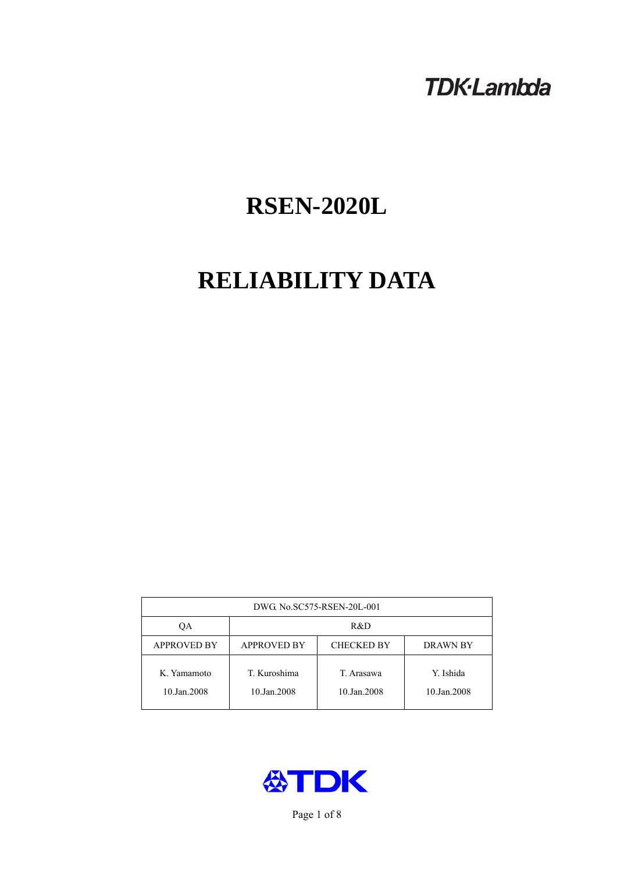# **TDK-Lambda**

# **RSEN-2020L**

# **RELIABILITY DATA**

| DWG. No.SC575-RSEN-20L-001 |                                                            |                           |                          |  |  |
|----------------------------|------------------------------------------------------------|---------------------------|--------------------------|--|--|
| ОA                         | R&D                                                        |                           |                          |  |  |
| <b>APPROVED BY</b>         | <b>APPROVED BY</b><br><b>CHECKED BY</b><br><b>DRAWN BY</b> |                           |                          |  |  |
| K. Yamamoto<br>10.Jan.2008 | T. Kuroshima<br>10.Jan.2008                                | T. Arasawa<br>10.Jan.2008 | Y. Ishida<br>10.Jan.2008 |  |  |



Page 1 of 8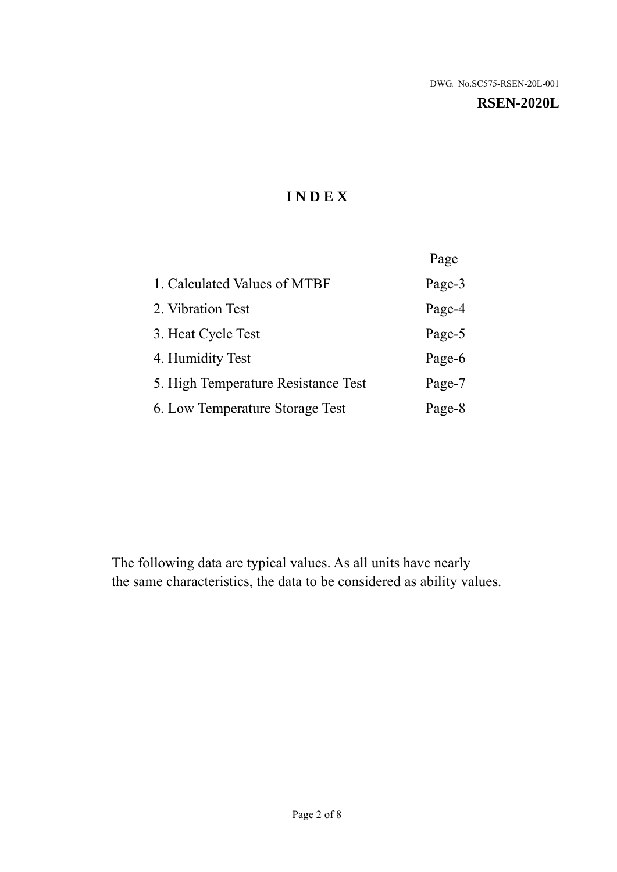#### **RSEN-2020L**

# **I N D E X**

|                                     | Page   |
|-------------------------------------|--------|
| 1. Calculated Values of MTBF        | Page-3 |
| 2. Vibration Test                   | Page-4 |
| 3. Heat Cycle Test                  | Page-5 |
| 4. Humidity Test                    | Page-6 |
| 5. High Temperature Resistance Test | Page-7 |
| 6. Low Temperature Storage Test     | Page-8 |

The following data are typical values. As all units have nearly the same characteristics, the data to be considered as ability values.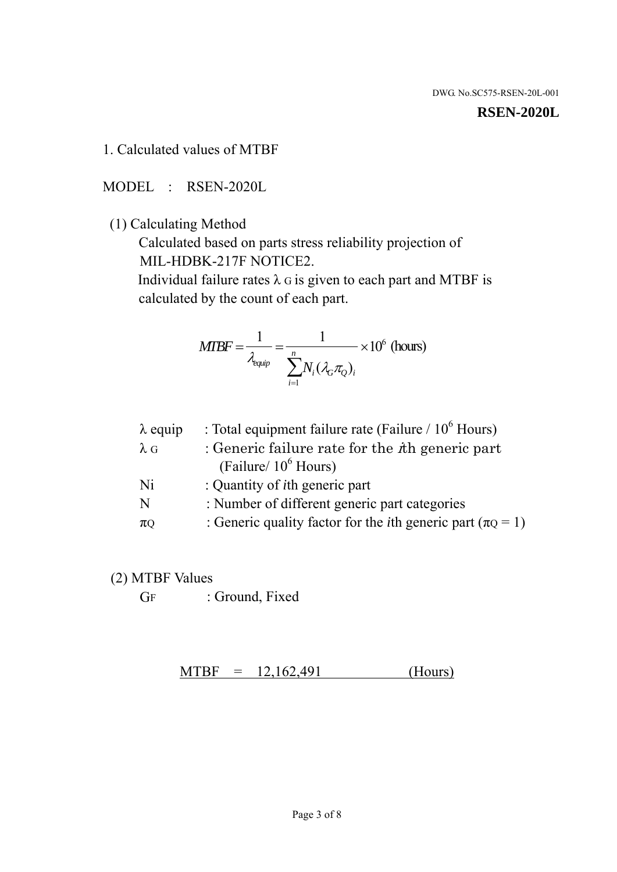#### **RSEN-2020L**

1. Calculated values of MTBF

MODEL : RSEN-2020L

(1) Calculating Method

 Calculated based on parts stress reliability projection of MIL-HDBK-217F NOTICE2.

Individual failure rates  $\lambda$  G is given to each part and MTBF is calculated by the count of each part.

$$
MIBF = \frac{1}{\lambda_{\text{equip}}} = \frac{1}{\sum_{i=1}^{n} N_i (\lambda_G \pi_Q)_i} \times 10^6 \text{ (hours)}
$$

| $\lambda$ equip | : Total equipment failure rate (Failure $/ 10^6$ Hours)                   |
|-----------------|---------------------------------------------------------------------------|
| $\lambda$ G     | : Generic failure rate for the $\hbar$ generic part                       |
|                 | (Failure/ $10^6$ Hours)                                                   |
| Ni              | : Quantity of <i>i</i> th generic part                                    |
| N               | : Number of different generic part categories                             |
| $\pi$ Q         | : Generic quality factor for the <i>i</i> th generic part ( $\pi Q = 1$ ) |

- (2) MTBF Values
	- GF : Ground, Fixed

 $MTBF = 12,162,491$  (Hours)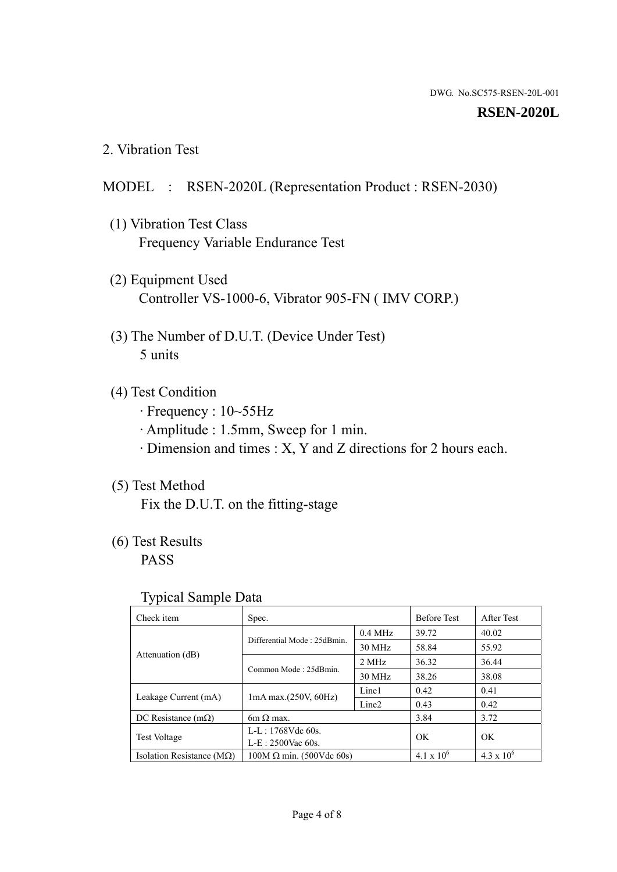#### **RSEN-2020L**

2. Vibration Test

#### MODEL : RSEN-2020L (Representation Product : RSEN-2030)

- (1) Vibration Test Class Frequency Variable Endurance Test
- (2) Equipment Used Controller VS-1000-6, Vibrator 905-FN ( IMV CORP.)
- (3) The Number of D.U.T. (Device Under Test) 5 units
- (4) Test Condition
	- · Frequency : 10~55Hz
	- · Amplitude : 1.5mm, Sweep for 1 min.
	- · Dimension and times : X, Y and Z directions for 2 hours each.

## (5) Test Method

Fix the D.U.T. on the fitting-stage

# (6) Test Results

PASS

#### Typical Sample Data

| Check item                         | Spec.                           |                   | <b>Before Test</b> | After Test          |
|------------------------------------|---------------------------------|-------------------|--------------------|---------------------|
| Attenuation (dB)                   | Differential Mode: 25dBmin.     | $0.4$ MHz         | 39.72              | 40.02               |
|                                    |                                 | 30 MHz            | 58.84              | 55.92               |
|                                    | Common Mode: 25dBmin.           | 2 MHz             | 36.32              | 36.44               |
|                                    |                                 | 30 MHz            | 38.26              | 38.08               |
| Leakage Current (mA)               | $1mA$ max. $(250V, 60Hz)$       | Line1             | 0.42               | 0.41                |
|                                    |                                 | Line <sub>2</sub> | 0.43               | 0.42                |
| DC Resistance $(m\Omega)$          | $6m \Omega$ max.                |                   | 3.84               | 3.72                |
| <b>Test Voltage</b>                | $L-L: 1768Vdc$ 60s.             |                   | OK                 |                     |
|                                    | $L-E: 2500$ Vac 60s.            |                   |                    | OK                  |
| Isolation Resistance ( $M\Omega$ ) | $100M \Omega$ min. (500Vdc 60s) |                   | $4.1 \times 10^6$  | $4.3 \times 10^{6}$ |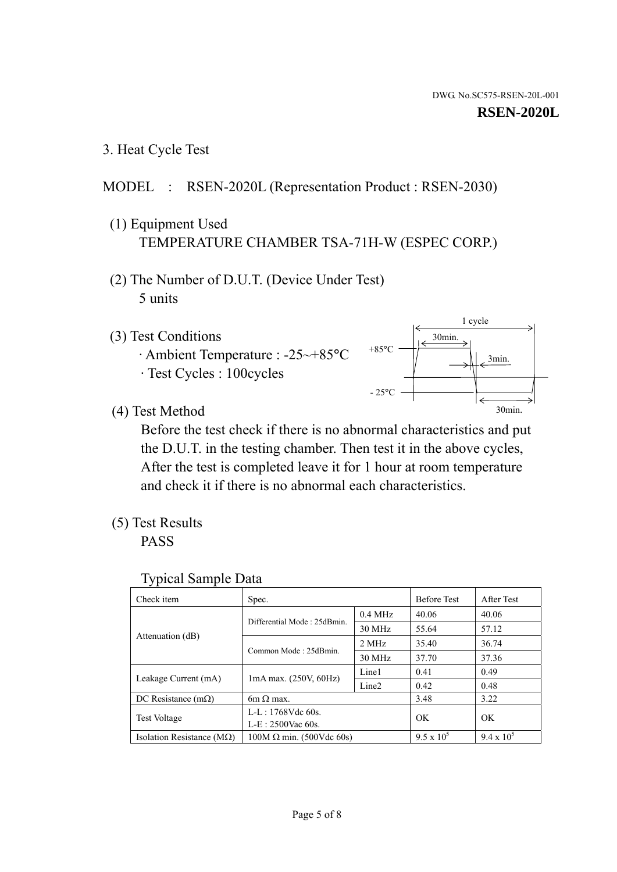1 cycle

30min.

3min.

30min.

3. Heat Cycle Test

# MODEL : RSEN-2020L (Representation Product : RSEN-2030)

- (1) Equipment Used TEMPERATURE CHAMBER TSA-71H-W (ESPEC CORP.)
- (2) The Number of D.U.T. (Device Under Test) 5 units
- (3) Test Conditions
	- · Ambient Temperature : -25~+85°C · Test Cycles : 100cycles
- (4) Test Method

 Before the test check if there is no abnormal characteristics and put the D.U.T. in the testing chamber. Then test it in the above cycles, After the test is completed leave it for 1 hour at room temperature and check it if there is no abnormal each characteristics.

 $+85$ °C

 $-25$ °C

(5) Test Results

PASS

| <b>Typical Sample Data</b> |  |  |
|----------------------------|--|--|
|----------------------------|--|--|

| Check item                         | Spec.                                             |                   | <b>Before Test</b> | After Test        |
|------------------------------------|---------------------------------------------------|-------------------|--------------------|-------------------|
|                                    | Differential Mode: 25dBmin.                       | $0.4$ MHz         | 40.06              | 40.06             |
|                                    |                                                   | 30 MHz            | 55.64              | 57.12             |
| Attenuation (dB)                   | Common Mode: 25dBmin.                             | 2 MHz             | 35.40              | 36.74             |
|                                    |                                                   | 30 MHz            | 37.70              | 37.36             |
|                                    | $1mA$ max. $(250V, 60Hz)$<br>Leakage Current (mA) | Line1             | 0.41               | 0.49              |
|                                    |                                                   | Line <sub>2</sub> | 0.42               | 0.48              |
| DC Resistance $(m\Omega)$          | 6m $\Omega$ max.                                  |                   | 3.48               | 3.22              |
| <b>Test Voltage</b>                | $L-L: 1768Vdc$ 60s.                               |                   | OK                 | OK                |
|                                    | $L-E: 2500$ Vac 60s.                              |                   |                    |                   |
| Isolation Resistance ( $M\Omega$ ) | $100M \Omega$ min. (500Vdc 60s)                   |                   | $9.5 \times 10^5$  | $9.4 \times 10^5$ |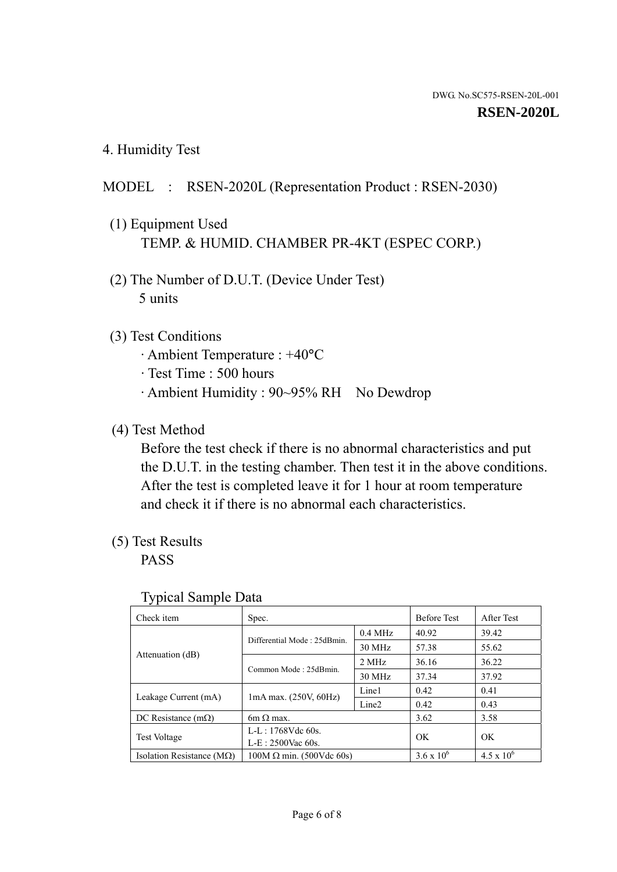4. Humidity Test

# MODEL : RSEN-2020L (Representation Product : RSEN-2030)

- (1) Equipment Used TEMP. & HUMID. CHAMBER PR-4KT (ESPEC CORP.)
- (2) The Number of D.U.T. (Device Under Test) 5 units

### (3) Test Conditions

- · Ambient Temperature : +40°C
- · Test Time : 500 hours
- · Ambient Humidity : 90~95% RH No Dewdrop

## (4) Test Method

 Before the test check if there is no abnormal characteristics and put the D.U.T. in the testing chamber. Then test it in the above conditions. After the test is completed leave it for 1 hour at room temperature and check it if there is no abnormal each characteristics.

# (5) Test Results

PASS

| . .                                |                                 |                   |                     |                     |
|------------------------------------|---------------------------------|-------------------|---------------------|---------------------|
| Check item                         | Spec.                           |                   | <b>Before Test</b>  | After Test          |
|                                    | Differential Mode: 25dBmin.     | $0.4$ MHz         | 40.92               | 39.42               |
|                                    |                                 | 30 MHz            | 57.38               | 55.62               |
| Attenuation (dB)                   | Common Mode: 25dBmin.           | 2 MHz             | 36.16               | 36.22               |
|                                    |                                 | 30 MHz            | 37.34               | 37.92               |
| Leakage Current (mA)               | $1mA$ max. $(250V, 60Hz)$       | Line1             | 0.42                | 0.41                |
|                                    |                                 | Line <sub>2</sub> | 0.42                | 0.43                |
| DC Resistance (m $\Omega$ )        | $6m \Omega$ max.                |                   | 3.62                | 3.58                |
| <b>Test Voltage</b>                | $L-L: 1768Vdc$ 60s.             |                   | OK                  | OK.                 |
|                                    | $L-E$ : 2500Vac 60s.            |                   |                     |                     |
| Isolation Resistance ( $M\Omega$ ) | $100M \Omega$ min. (500Vdc 60s) |                   | $3.6 \times 10^{6}$ | $4.5 \times 10^{6}$ |

#### Typical Sample Data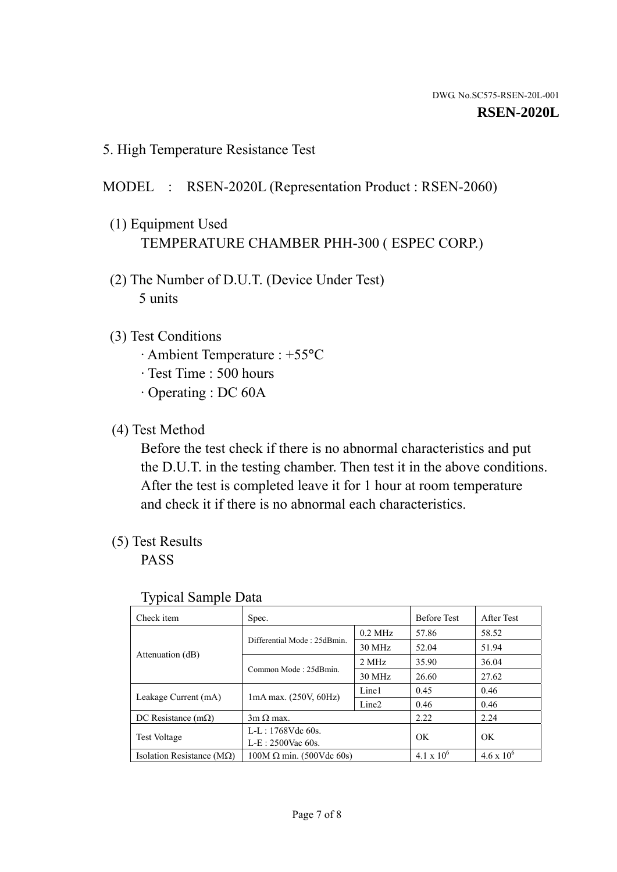5. High Temperature Resistance Test

### MODEL : RSEN-2020L (Representation Product : RSEN-2060)

- (1) Equipment Used TEMPERATURE CHAMBER PHH-300 ( ESPEC CORP.)
- (2) The Number of D.U.T. (Device Under Test) 5 units
- (3) Test Conditions
	- · Ambient Temperature : +55°C
	- · Test Time : 500 hours
	- · Operating : DC 60A
- (4) Test Method

 Before the test check if there is no abnormal characteristics and put the D.U.T. in the testing chamber. Then test it in the above conditions. After the test is completed leave it for 1 hour at room temperature and check it if there is no abnormal each characteristics.

(5) Test Results

PASS

| ╯┸                                 |                                 |                   |                     |                     |
|------------------------------------|---------------------------------|-------------------|---------------------|---------------------|
| Check item                         | Spec.                           |                   | <b>Before Test</b>  | After Test          |
|                                    | Differential Mode: 25dBmin.     | $0.2$ MHz         | 57.86               | 58.52               |
|                                    |                                 | 30 MHz            | 52.04               | 51.94               |
| Attenuation (dB)                   | Common Mode: 25dBmin.           | 2 MHz             | 35.90               | 36.04               |
|                                    |                                 | 30 MHz            | 26.60               | 27.62               |
| Leakage Current (mA)               | $1mA$ max. $(250V, 60Hz)$       | Line1             | 0.45                | 0.46                |
|                                    |                                 | Line <sub>2</sub> | 0.46                | 0.46                |
| DC Resistance $(m\Omega)$          | $3m \Omega$ max.                |                   | 2.22                | 2.24                |
| <b>Test Voltage</b>                | $L-L: 1768Vdc$ 60s.             |                   | OK                  | OK                  |
|                                    | $L-E: 2500$ Vac 60s.            |                   |                     |                     |
| Isolation Resistance ( $M\Omega$ ) | $100M \Omega$ min. (500Vdc 60s) |                   | $4.1 \times 10^{6}$ | $4.6 \times 10^{6}$ |

#### Typical Sample Data